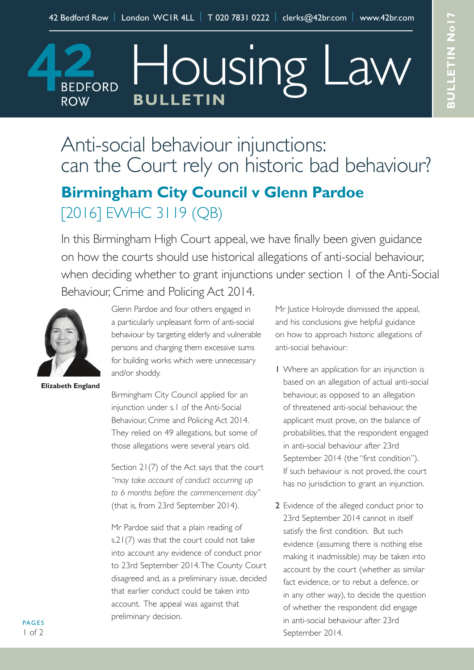Housing I

Anti-social behaviour injunctions: can the Court rely on historic bad behaviour? **Birmingham City Council v Glenn Pardoe**

[2016] EWHC 3119 (QB)

**BULLETIN**

In this Birmingham High Court appeal, we have finally been given guidance on how the courts should use historical allegations of anti-social behaviour, when deciding whether to grant injunctions under section 1 of the Anti-Social Behaviour, Crime and Policing Act 2014.



**BEDFORD** 

**ROW** 

**Elizabeth England**

Glenn Pardoe and four others engaged in a particularly unpleasant form of anti-social behaviour by targeting elderly and vulnerable persons and charging them excessive sums for building works which were unnecessary and/or shoddy.

Birmingham City Council applied for an injunction under s.1 of the Anti-Social Behaviour, Crime and Policing Act 2014. They relied on 49 allegations, but some of those allegations were several years old.

Section 21(7) of the Act says that the court *"may take account of conduct occurring up to 6 months before the commencement day"* (that is, from 23rd September 2014).

Mr Pardoe said that a plain reading of s.21(7) was that the court could not take into account any evidence of conduct prior to 23rd September 2014.The County Court disagreed and, as a preliminary issue, decided that earlier conduct could be taken into account. The appeal was against that preliminary decision.

Mr Justice Holroyde dismissed the appeal, and his conclusions give helpful guidance on how to approach historic allegations of anti-social behaviour:

- 1 Where an application for an injunction is based on an allegation of actual anti-social behaviour, as opposed to an allegation of threatened anti-social behaviour, the applicant must prove, on the balance of probabilities, that the respondent engaged in anti-social behaviour after 23rd September 2014 (the "first condition"). If such behaviour is not proved, the court has no jurisdiction to grant an injunction.
- 2 Evidence of the alleged conduct prior to 23rd September 2014 cannot in itself satisfy the first condition. But such evidence (assuming there is nothing else making it inadmissible) may be taken into account by the court (whether as similar fact evidence, or to rebut a defence, or in any other way), to decide the question of whether the respondent did engage in anti-social behaviour after 23rd September 2014.